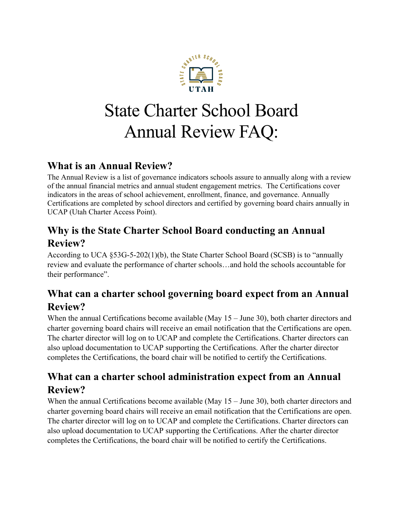

# State Charter School Board Annual Review FAQ:

#### **What is an Annual Review?**

The Annual Review is a list of governance indicators schools assure to annually along with a review of the annual financial metrics and annual student engagement metrics. The Certifications cover indicators in the areas of school achievement, enrollment, finance, and governance. Annually Certifications are completed by school directors and certified by governing board chairs annually in UCAP (Utah Charter Access Point).

# **Why is the State Charter School Board conducting an Annual Review?**

According to UCA §53G-5-202(1)(b), the State Charter School Board (SCSB) is to "annually review and evaluate the performance of charter schools…and hold the schools accountable for their performance".

# **What can a charter school governing board expect from an Annual Review?**

When the annual Certifications become available (May 15 – June 30), both charter directors and charter governing board chairs will receive an email notification that the Certifications are open. The charter director will log on to UCAP and complete the Certifications. Charter directors can also upload documentation to UCAP supporting the Certifications. After the charter director completes the Certifications, the board chair will be notified to certify the Certifications.

#### **What can a charter school administration expect from an Annual Review?**

When the annual Certifications become available (May 15 – June 30), both charter directors and charter governing board chairs will receive an email notification that the Certifications are open. The charter director will log on to UCAP and complete the Certifications. Charter directors can also upload documentation to UCAP supporting the Certifications. After the charter director completes the Certifications, the board chair will be notified to certify the Certifications.